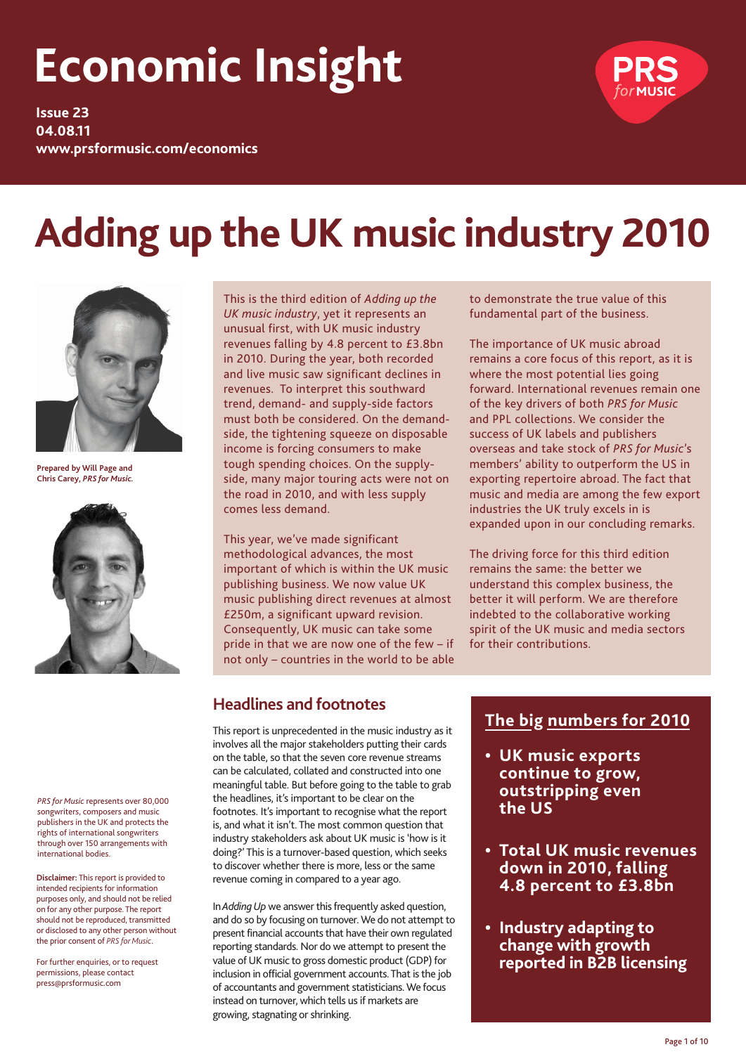# **Economic Insight**

**Issue 23 04.08.11 www.prsformusic.com/economics**



# **Adding up the UK music industry 2010**



**Prepared by Will Page and Chris Carey,** *PRS for Music.*



*PRS for Music* represents over 80,000 songwriters, composers and music publishers in the UK and protects the rights of international songwriters through over 150 arrangements with international bodies.

**Disclaimer:** This report is provided to intended recipients for information purposes only, and should not be relied on for any other purpose. The report should not be reproduced, transmitted or disclosed to any other person without the prior consent of *PRS for Music*.

For further enquiries, or to request permissions, please contact press@prsformusic.com

This is the third edition of *Adding up the UK music industry*, yet it represents an unusual first, with UK music industry revenues falling by 4.8 percent to £3.8bn in 2010. During the year, both recorded and live music saw significant declines in revenues. To interpret this southward trend, demand- and supply-side factors must both be considered. On the demandside, the tightening squeeze on disposable income is forcing consumers to make tough spending choices. On the supplyside, many major touring acts were not on the road in 2010, and with less supply comes less demand.

This year, we've made significant methodological advances, the most important of which is within the UK music publishing business. We now value UK music publishing direct revenues at almost £250m, a significant upward revision. Consequently, UK music can take some pride in that we are now one of the few – if not only – countries in the world to be able to demonstrate the true value of this fundamental part of the business.

The importance of UK music abroad remains a core focus of this report, as it is where the most potential lies going forward. International revenues remain one of the key drivers of both *PRS for Music* and PPL collections. We consider the success of UK labels and publishers overseas and take stock of *PRS for Music*'s members' ability to outperform the US in exporting repertoire abroad. The fact that music and media are among the few export industries the UK truly excels in is expanded upon in our concluding remarks.

The driving force for this third edition remains the same: the better we understand this complex business, the better it will perform. We are therefore indebted to the collaborative working spirit of the UK music and media sectors for their contributions.

# **Headlines and footnotes**

This report is unprecedented in the music industry as it involves all the major stakeholders putting their cards on the table, so that the seven core revenue streams can be calculated, collated and constructed into one meaningful table. But before going to the table to grab the headlines, it's important to be clear on the footnotes. It's important to recognise what the report is, and what it isn't. The most common question that industry stakeholders ask about UK music is 'how is it doing?' This is a turnover-based question, which seeks to discover whether there is more, less or the same revenue coming in compared to a year ago.

In *Adding Up* we answer this frequently asked question, and do so by focusing on turnover. We do not attempt to present financial accounts that have their own regulated reporting standards. Nor do we attempt to present the value of UK music to gross domestic product (GDP) for inclusion in official government accounts. That is the job of accountants and government statisticians. We focus instead on turnover, which tells us if markets are growing, stagnating or shrinking.

# **The big numbers for 2010**

- **• UK music exports continue to grow, outstripping even the US**
- **• Total UK music revenues down in 2010, falling 4.8 percent to £3.8bn**
- **• Industry adapting to change with growth reported in B2B licensing**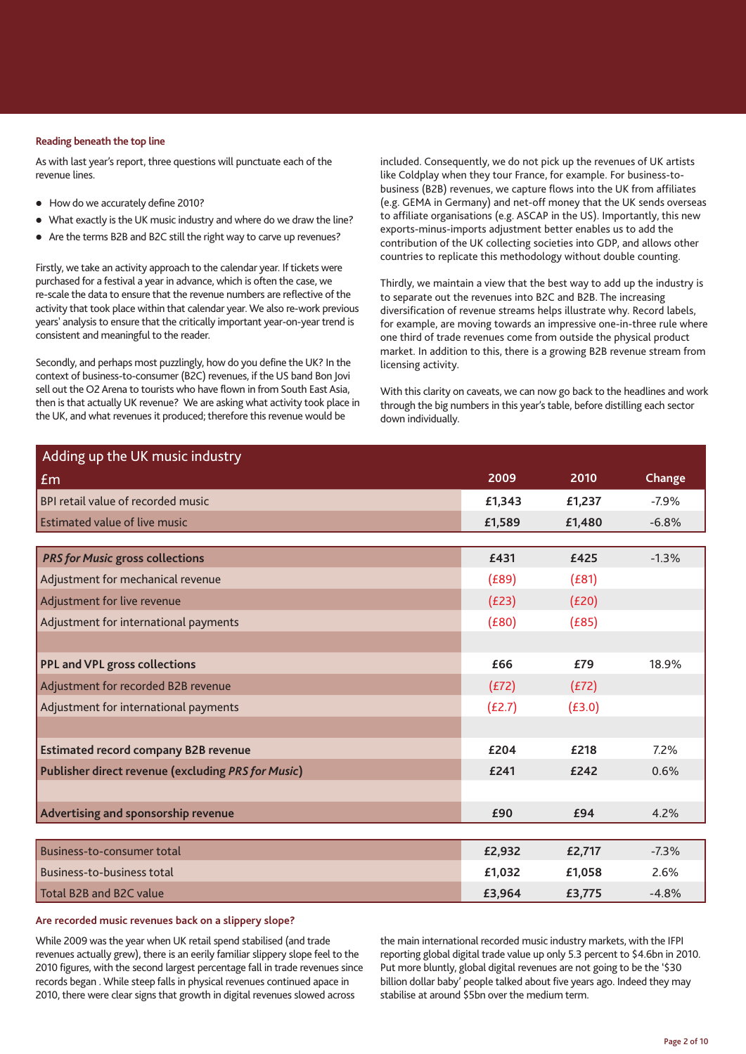#### **Reading beneath the top line**

As with last year's report, three questions will punctuate each of the revenue lines.

- $\bullet$  How do we accurately define 2010?
- What exactly is the UK music industry and where do we draw the line?
- Are the terms B2B and B2C still the right way to carve up revenues?

Firstly, we take an activity approach to the calendar year. If tickets were purchased for a festival a year in advance, which is often the case, we re-scale the data to ensure that the revenue numbers are reflective of the activity that took place within that calendar year. We also re-work previous years' analysis to ensure that the critically important year-on-year trend is consistent and meaningful to the reader.

Secondly, and perhaps most puzzlingly, how do you define the UK? In the context of business-to-consumer (B2C) revenues, if the US band Bon Jovi sell out the O2 Arena to tourists who have flown in from South East Asia, then is that actually UK revenue? We are asking what activity took place in the UK, and what revenues it produced; therefore this revenue would be

included. Consequently, we do not pick up the revenues of UK artists like Coldplay when they tour France, for example. For business-tobusiness (B2B) revenues, we capture flows into the UK from affiliates (e.g. GEMA in Germany) and net-off money that the UK sends overseas to affiliate organisations (e.g. ASCAP in the US). Importantly, this new exports-minus-imports adjustment better enables us to add the contribution of the UK collecting societies into GDP, and allows other countries to replicate this methodology without double counting.

Thirdly, we maintain a view that the best way to add up the industry is to separate out the revenues into B2C and B2B. The increasing diversification of revenue streams helps illustrate why. Record labels, for example, are moving towards an impressive one-in-three rule where one third of trade revenues come from outside the physical product market. In addition to this, there is a growing B2B revenue stream from licensing activity.

With this clarity on caveats, we can now go back to the headlines and work through the big numbers in this year's table, before distilling each sector down individually.

| Adding up the UK music industry                           |        |        |         |
|-----------------------------------------------------------|--------|--------|---------|
| Em                                                        | 2009   | 2010   | Change  |
| BPI retail value of recorded music                        | £1,343 | £1,237 | $-7.9%$ |
| <b>Estimated value of live music</b>                      | £1,589 | £1,480 | $-6.8%$ |
|                                                           |        |        |         |
| <b>PRS for Music gross collections</b>                    | £431   | £425   | $-1.3%$ |
| Adjustment for mechanical revenue                         | (E89)  | (E81)  |         |
| Adjustment for live revenue                               | (E23)  | (E20)  |         |
| Adjustment for international payments                     | (E80)  | (E85)  |         |
|                                                           |        |        |         |
| <b>PPL and VPL gross collections</b>                      | £66    | £79    | 18.9%   |
| Adjustment for recorded B2B revenue                       | (E72)  | (E72)  |         |
| Adjustment for international payments                     | (E2.7) | (E3.0) |         |
|                                                           |        |        |         |
| <b>Estimated record company B2B revenue</b>               | £204   | £218   | 7.2%    |
| <b>Publisher direct revenue (excluding PRS for Music)</b> | £241   | £242   | 0.6%    |
|                                                           |        |        |         |
| Advertising and sponsorship revenue                       | £90    | £94    | 4.2%    |
|                                                           |        |        |         |
| Business-to-consumer total                                | £2,932 | £2,717 | $-7.3%$ |
| Business-to-business total                                | £1,032 | £1,058 | 2.6%    |
| Total B2B and B2C value                                   | £3,964 | £3,775 | $-4.8%$ |

# **Are recorded music revenues back on a slippery slope?**

While 2009 was the year when UK retail spend stabilised (and trade revenues actually grew), there is an eerily familiar slippery slope feel to the 2010 figures, with the second largest percentage fall in trade revenues since records began . While steep falls in physical revenues continued apace in 2010, there were clear signs that growth in digital revenues slowed across

the main international recorded music industry markets, with the IFPI reporting global digital trade value up only 5.3 percent to \$4.6bn in 2010. Put more bluntly, global digital revenues are not going to be the '\$30 billion dollar baby' people talked about five years ago. Indeed they may stabilise at around \$5bn over the medium term.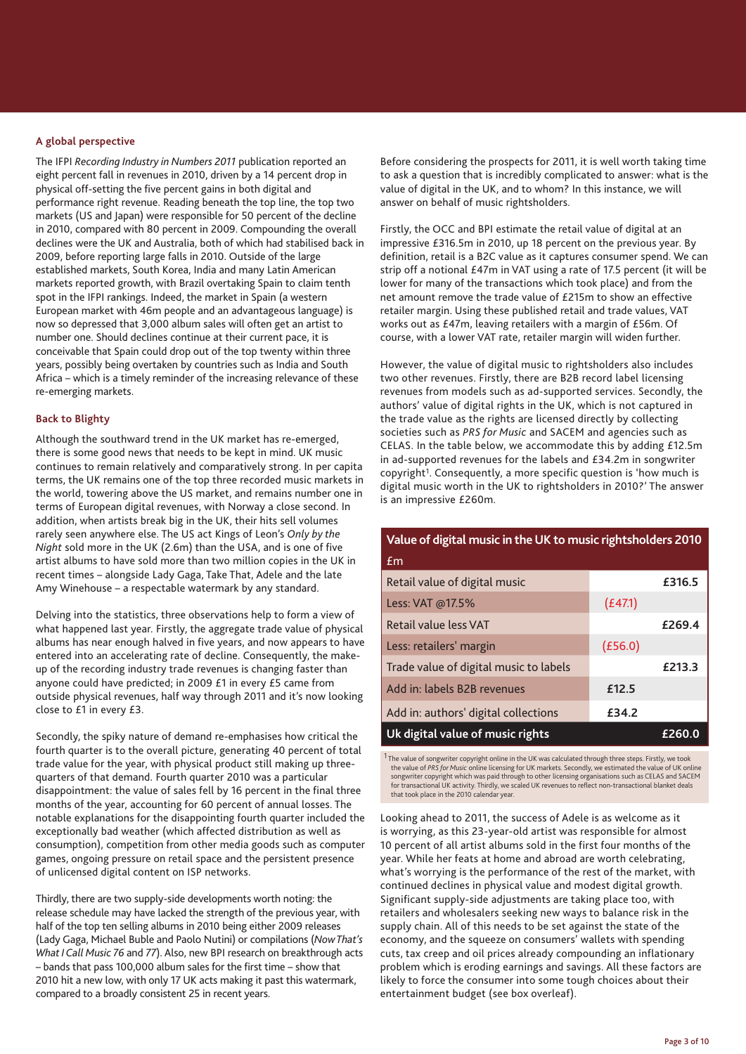#### **A global perspective**

The IFPI *Recording Industry in Numbers 2011* publication reported an eight percent fall in revenues in 2010, driven by a 14 percent drop in physical off-setting the five percent gains in both digital and performance right revenue. Reading beneath the top line, the top two markets (US and Japan) were responsible for 50 percent of the decline in 2010, compared with 80 percent in 2009. Compounding the overall declines were the UK and Australia, both of which had stabilised back in 2009, before reporting large falls in 2010. Outside of the large established markets, South Korea, India and many Latin American markets reported growth, with Brazil overtaking Spain to claim tenth spot in the IFPI rankings. Indeed, the market in Spain (a western European market with 46m people and an advantageous language) is now so depressed that 3,000 album sales will often get an artist to number one. Should declines continue at their current pace, it is conceivable that Spain could drop out of the top twenty within three years, possibly being overtaken by countries such as India and South Africa – which is a timely reminder of the increasing relevance of these re-emerging markets.

# **Back to Blighty**

Although the southward trend in the UK market has re-emerged, there is some good news that needs to be kept in mind. UK music continues to remain relatively and comparatively strong. In per capita terms, the UK remains one of the top three recorded music markets in the world, towering above the US market, and remains number one in terms of European digital revenues, with Norway a close second. In addition, when artists break big in the UK, their hits sell volumes rarely seen anywhere else. The US act Kings of Leon's *Only by the Night* sold more in the UK (2.6m) than the USA, and is one of five artist albums to have sold more than two million copies in the UK in recent times – alongside Lady Gaga, Take That, Adele and the late Amy Winehouse – a respectable watermark by any standard.

Delving into the statistics, three observations help to form a view of what happened last year. Firstly, the aggregate trade value of physical albums has near enough halved in five years, and now appears to have entered into an accelerating rate of decline. Consequently, the makeup of the recording industry trade revenues is changing faster than anyone could have predicted; in 2009 £1 in every £5 came from outside physical revenues, half way through 2011 and it's now looking close to £1 in every £3.

Secondly, the spiky nature of demand re-emphasises how critical the fourth quarter is to the overall picture, generating 40 percent of total trade value for the year, with physical product still making up threequarters of that demand. Fourth quarter 2010 was a particular disappointment: the value of sales fell by 16 percent in the final three months of the year, accounting for 60 percent of annual losses. The notable explanations for the disappointing fourth quarter included the exceptionally bad weather (which affected distribution as well as consumption), competition from other media goods such as computer games, ongoing pressure on retail space and the persistent presence of unlicensed digital content on ISP networks.

Thirdly, there are two supply-side developments worth noting: the release schedule may have lacked the strength of the previous year, with half of the top ten selling albums in 2010 being either 2009 releases (Lady Gaga, Michael Buble and Paolo Nutini) or compilations (*Now That's What I Call Music 76* and *77*). Also, new BPI research on breakthrough acts – bands that pass 100,000 album sales for the first time – show that 2010 hit a new low, with only 17 UK acts making it past this watermark, compared to a broadly consistent 25 in recent years.

Before considering the prospects for 2011, it is well worth taking time to ask a question that is incredibly complicated to answer: what is the value of digital in the UK, and to whom? In this instance, we will answer on behalf of music rightsholders.

Firstly, the OCC and BPI estimate the retail value of digital at an impressive £316.5m in 2010, up 18 percent on the previous year. By definition, retail is a B2C value as it captures consumer spend. We can strip off a notional £47m in VAT using a rate of 17.5 percent (it will be lower for many of the transactions which took place) and from the net amount remove the trade value of £215m to show an effective retailer margin. Using these published retail and trade values, VAT works out as £47m, leaving retailers with a margin of £56m. Of course, with a lower VAT rate, retailer margin will widen further.

However, the value of digital music to rightsholders also includes two other revenues. Firstly, there are B2B record label licensing revenues from models such as ad-supported services. Secondly, the authors' value of digital rights in the UK, which is not captured in the trade value as the rights are licensed directly by collecting societies such as *PRS for Music* and SACEM and agencies such as CELAS. In the table below, we accommodate this by adding £12.5m in ad-supported revenues for the labels and £34.2m in songwriter copyright<sup>1</sup>. Consequently, a more specific question is 'how much is digital music worth in the UK to rightsholders in 2010?' The answer is an impressive £260m.

# **Value of digital music in the UK to music rightsholders 2010**

| Em                                     |         |        |
|----------------------------------------|---------|--------|
| Retail value of digital music          |         | £316.5 |
| Less: VAT @17.5%                       | (E47.1) |        |
| Retail value less VAT                  |         | £269.4 |
| Less: retailers' margin                | (E56.0) |        |
| Trade value of digital music to labels |         | £213.3 |
| Add in: labels B2B revenues            | £12.5   |        |
| Add in: authors' digital collections   | £34.2   |        |
| Uk digital value of music rights       |         | £260.0 |

<sup>1</sup> The value of songwriter copyright online in the UK was calculated through three steps. Firstly, we took the value of *PRS for Music* online licensing for UK markets. Secondly, we estimated the value of UK online songwriter copyright which was paid through to other licensing organisations such as CELAS and SACEM for transactional UK activity. Thirdly, we scaled UK revenues to reflect non-transactional blanket deals that took place in the 2010 calendar year.

Looking ahead to 2011, the success of Adele is as welcome as it is worrying, as this 23-year-old artist was responsible for almost 10 percent of all artist albums sold in the first four months of the year. While her feats at home and abroad are worth celebrating, what's worrying is the performance of the rest of the market, with continued declines in physical value and modest digital growth. Significant supply-side adjustments are taking place too, with retailers and wholesalers seeking new ways to balance risk in the supply chain. All of this needs to be set against the state of the economy, and the squeeze on consumers' wallets with spending cuts, tax creep and oil prices already compounding an inflationary problem which is eroding earnings and savings. All these factors are likely to force the consumer into some tough choices about their entertainment budget (see box overleaf).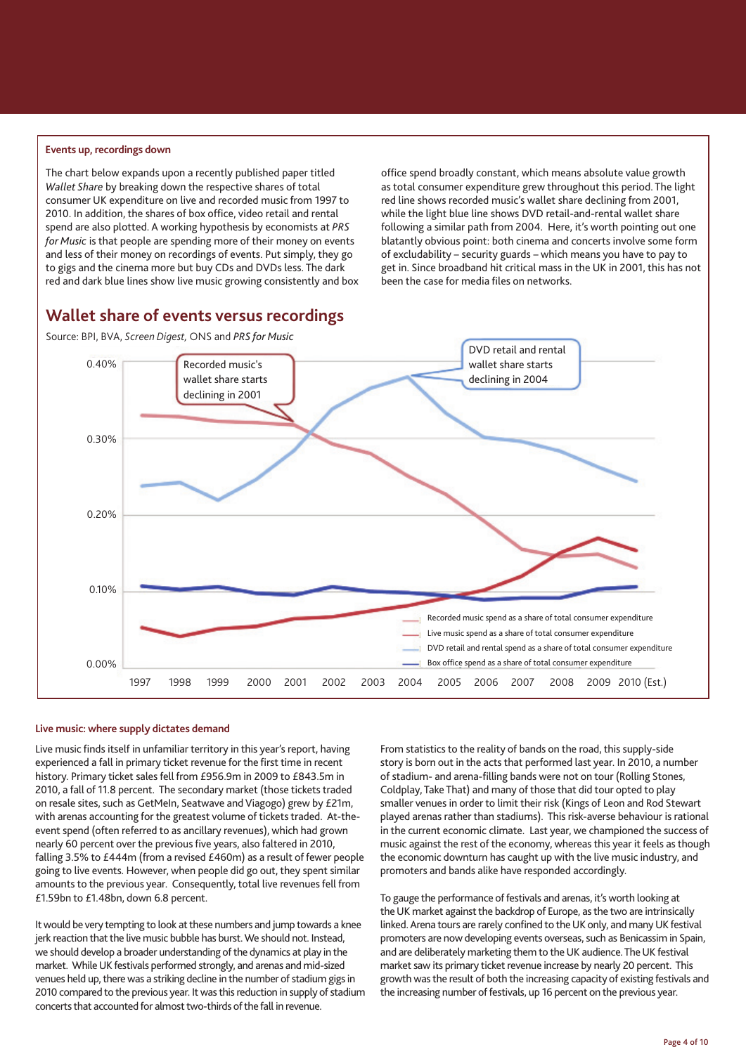#### **Events up, recordings down**

The chart below expands upon a recently published paper titled *Wallet Share* by breaking down the respective shares of total consumer UK expenditure on live and recorded music from 1997 to 2010. In addition, the shares of box office, video retail and rental spend are also plotted. A working hypothesis by economists at *PRS for Music* is that people are spending more of their money on events and less of their money on recordings of events. Put simply, they go to gigs and the cinema more but buy CDs and DVDs less. The dark red and dark blue lines show live music growing consistently and box office spend broadly constant, which means absolute value growth as total consumer expenditure grew throughout this period. The light red line shows recorded music's wallet share declining from 2001, while the light blue line shows DVD retail-and-rental wallet share following a similar path from 2004. Here, it's worth pointing out one blatantly obvious point: both cinema and concerts involve some form of excludability – security guards – which means you have to pay to get in. Since broadband hit critical mass in the UK in 2001, this has not been the case for media files on networks.

# **Wallet share of events versus recordings**

Source: BPI, BVA, *Screen Digest,* ONS and *PRS for Music*





#### **Live music: where supply dictates demand**

Live music finds itself in unfamiliar territory in this year's report, having experienced a fall in primary ticket revenue for the first time in recent history. Primary ticket sales fell from £956.9m in 2009 to £843.5m in 2010, a fall of 11.8 percent. The secondary market (those tickets traded on resale sites, such as GetMeIn, Seatwave and Viagogo) grew by £21m, with arenas accounting for the greatest volume of tickets traded. At-theevent spend (often referred to as ancillary revenues), which had grown nearly 60 percent over the previous five years, also faltered in 2010, falling 3.5% to £444m (from a revised £460m) as a result of fewer people going to live events. However, when people did go out, they spent similar amounts to the previous year. Consequently, total live revenues fell from £1.59bn to £1.48bn, down 6.8 percent.

It would be very tempting to look at these numbers and jump towards a knee jerk reaction that the live music bubble has burst. We should not. Instead, we should develop a broader understanding of the dynamics at play in the market. While UK festivals performed strongly, and arenas and mid-sized venues held up, there was a striking decline in the number of stadium gigs in 2010 compared to the previous year. It was this reduction in supply of stadium concerts that accounted for almost two-thirds of the fall in revenue.

From statistics to the reality of bands on the road, this supply-side story is born out in the acts that performed last year. In 2010, a number of stadium- and arena-filling bands were not on tour (Rolling Stones, Coldplay, Take That) and many of those that did tour opted to play smaller venues in order to limit their risk (Kings of Leon and Rod Stewart played arenas rather than stadiums). This risk-averse behaviour is rational in the current economic climate. Last year, we championed the success of music against the rest of the economy, whereas this year it feels as though the economic downturn has caught up with the live music industry, and promoters and bands alike have responded accordingly.

To gauge the performance of festivals and arenas, it's worth looking at the UK market against the backdrop of Europe, as the two are intrinsically linked. Arena tours are rarely confined to the UK only, and many UK festival promoters are now developing events overseas, such as Benicassim in Spain, and are deliberately marketing them to the UK audience. The UK festival market saw its primary ticket revenue increase by nearly 20 percent. This growth was the result of both the increasing capacity of existing festivals and the increasing number of festivals, up 16 percent on the previous year.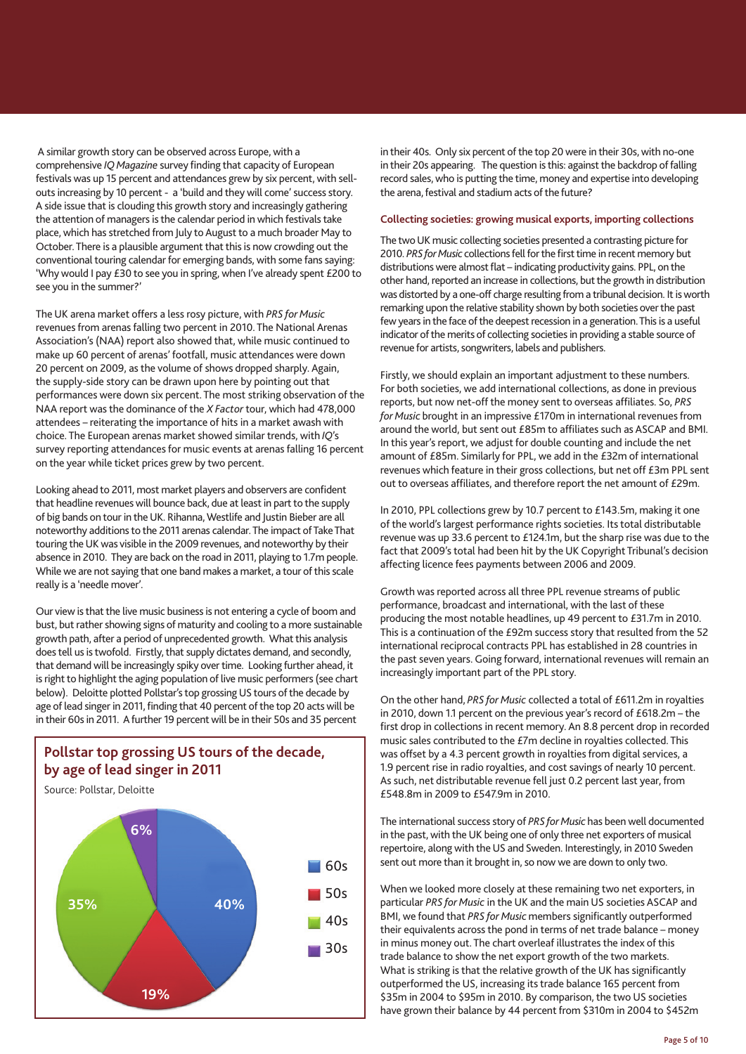A similar growth story can be observed across Europe, with a comprehensive *IQ Magazine* survey finding that capacity of European festivals was up 15 percent and attendances grew by six percent, with sellouts increasing by 10 percent - a 'build and they will come' success story. A side issue that is clouding this growth story and increasingly gathering the attention of managers is the calendar period in which festivals take place, which has stretched from July to August to a much broader May to October. There is a plausible argument that this is now crowding out the conventional touring calendar for emerging bands, with some fans saying: 'Why would I pay £30 to see you in spring, when I've already spent £200 to see you in the summer?'

The UK arena market offers a less rosy picture, with *PRS for Music* revenues from arenas falling two percent in 2010. The National Arenas Association's (NAA) report also showed that, while music continued to make up 60 percent of arenas' footfall, music attendances were down 20 percent on 2009, as the volume of shows dropped sharply. Again, the supply-side story can be drawn upon here by pointing out that performances were down six percent. The most striking observation of the NAA report was the dominance of the *X Factor* tour, which had 478,000 attendees – reiterating the importance of hits in a market awash with choice. The European arenas market showed similar trends, with *IQ*'s survey reporting attendances for music events at arenas falling 16 percent on the year while ticket prices grew by two percent.

Looking ahead to 2011, most market players and observers are confident that headline revenues will bounce back, due at least in part to the supply of big bands on tour in the UK. Rihanna, Westlife and Justin Bieber are all noteworthy additions to the 2011 arenas calendar. The impact of Take That touring the UK was visible in the 2009 revenues, and noteworthy by their absence in 2010. They are back on the road in 2011, playing to 1.7m people. While we are not saying that one band makes a market, a tour of this scale really is a 'needle mover'.

Our view is that the live music business is not entering a cycle of boom and bust, but rather showing signs of maturity and cooling to a more sustainable growth path, after a period of unprecedented growth. What this analysis does tell us is twofold. Firstly, that supply dictates demand, and secondly, that demand will be increasingly spiky over time. Looking further ahead, it is right to highlight the aging population of live music performers (see chart below). Deloitte plotted Pollstar's top grossing US tours of the decade by age of lead singer in 2011, finding that 40 percent of the top 20 acts will be in their 60s in 2011. A further 19 percent will be in their 50s and 35 percent

# **Pollstar top grossing US tours of the decade, by age of lead singer in 2011**



in their 40s. Only six percent of the top 20 were in their 30s, with no-one in their 20s appearing. The question is this: against the backdrop of falling record sales, who is putting the time, money and expertise into developing the arena, festival and stadium acts of the future?

# **Collecting societies: growing musical exports, importing collections**

The two UK music collecting societies presented a contrasting picture for 2010. *PRS for Music* collections fell for the first time in recent memory but distributions were almost flat – indicating productivity gains. PPL, on the other hand, reported an increase in collections, but the growth in distribution was distorted by a one-off charge resulting from a tribunal decision. It is worth remarking upon the relative stability shown by both societies over the past few years in the face of the deepest recession in a generation. This is a useful indicator of the merits of collecting societies in providing a stable source of revenue for artists, songwriters, labels and publishers.

Firstly, we should explain an important adjustment to these numbers. For both societies, we add international collections, as done in previous reports, but now net-off the money sent to overseas affiliates. So, *PRS for Music* brought in an impressive £170m in international revenues from around the world, but sent out £85m to affiliates such as ASCAP and BMI. In this year's report, we adjust for double counting and include the net amount of £85m. Similarly for PPL, we add in the £32m of international revenues which feature in their gross collections, but net off £3m PPL sent out to overseas affiliates, and therefore report the net amount of £29m.

In 2010, PPL collections grew by 10.7 percent to £143.5m, making it one of the world's largest performance rights societies. Its total distributable revenue was up 33.6 percent to £124.1m, but the sharp rise was due to the fact that 2009's total had been hit by the UK Copyright Tribunal's decision affecting licence fees payments between 2006 and 2009.

Growth was reported across all three PPL revenue streams of public performance, broadcast and international, with the last of these producing the most notable headlines, up 49 percent to £31.7m in 2010. This is a continuation of the £92m success story that resulted from the 52 international reciprocal contracts PPL has established in 28 countries in the past seven years. Going forward, international revenues will remain an increasingly important part of the PPL story.

On the other hand, *PRS for Music* collected a total of £611.2m in royalties in 2010, down 1.1 percent on the previous year's record of £618.2m – the first drop in collections in recent memory. An 8.8 percent drop in recorded music sales contributed to the £7m decline in royalties collected. This was offset by a 4.3 percent growth in royalties from digital services, a 1.9 percent rise in radio royalties, and cost savings of nearly 10 percent. As such, net distributable revenue fell just 0.2 percent last year, from £548.8m in 2009 to £547.9m in 2010.

The international success story of *PRS for Music* has been well documented in the past, with the UK being one of only three net exporters of musical repertoire, along with the US and Sweden. Interestingly, in 2010 Sweden sent out more than it brought in, so now we are down to only two.

When we looked more closely at these remaining two net exporters, in particular *PRS for Music* in the UK and the main US societies ASCAP and BMI, we found that *PRS for Music* members significantly outperformed their equivalents across the pond in terms of net trade balance – money in minus money out. The chart overleaf illustrates the index of this trade balance to show the net export growth of the two markets. What is striking is that the relative growth of the UK has significantly outperformed the US, increasing its trade balance 165 percent from \$35m in 2004 to \$95m in 2010. By comparison, the two US societies have grown their balance by 44 percent from \$310m in 2004 to \$452m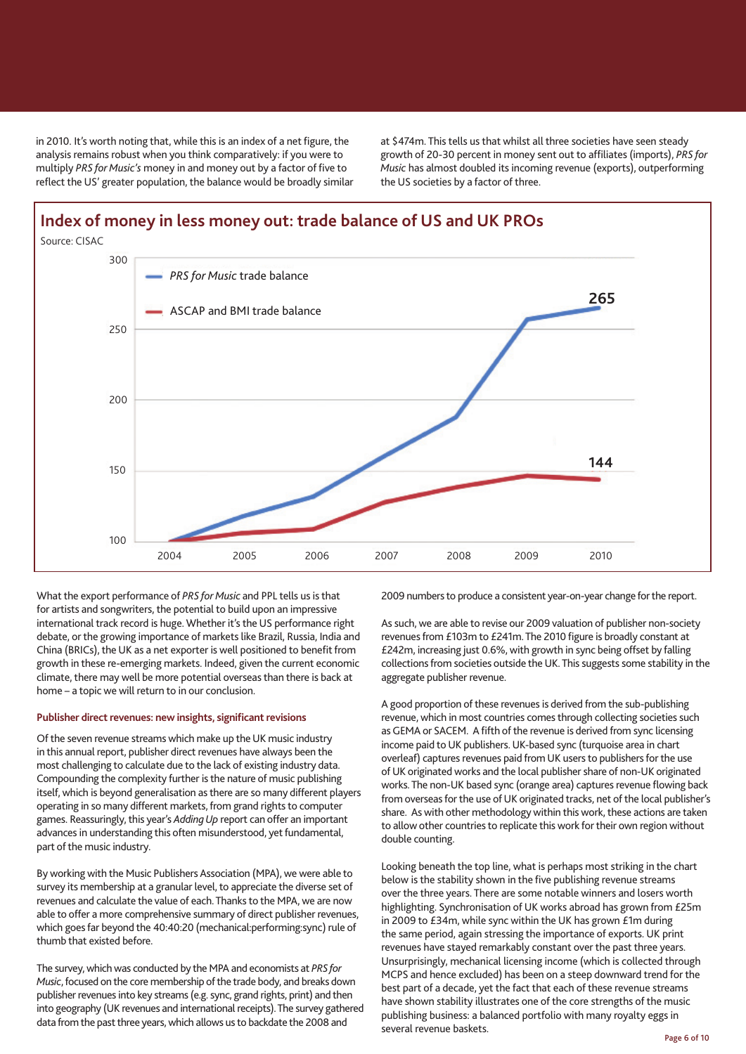in 2010. It's worth noting that, while this is an index of a net figure, the analysis remains robust when you think comparatively: if you were to multiply *PRS for Music's* money in and money out by a factor of five to reflect the US' greater population, the balance would be broadly similar at \$474m. This tells us that whilst all three societies have seen steady growth of 20-30 percent in money sent out to affiliates (imports), *PRS for Music* has almost doubled its incoming revenue (exports), outperforming the US societies by a factor of three.



What the export performance of *PRS for Music* and PPL tells us is that for artists and songwriters, the potential to build upon an impressive international track record is huge. Whether it's the US performance right debate, or the growing importance of markets like Brazil, Russia, India and China (BRICs), the UK as a net exporter is well positioned to benefit from growth in these re-emerging markets. Indeed, given the current economic climate, there may well be more potential overseas than there is back at home – a topic we will return to in our conclusion.

# **Publisher direct revenues: new insights, significant revisions**

Of the seven revenue streams which make up the UK music industry in this annual report, publisher direct revenues have always been the most challenging to calculate due to the lack of existing industry data. Compounding the complexity further is the nature of music publishing itself, which is beyond generalisation as there are so many different players operating in so many different markets, from grand rights to computer games. Reassuringly, this year's *Adding Up* report can offer an important advances in understanding this often misunderstood, yet fundamental, part of the music industry.

By working with the Music Publishers Association (MPA), we were able to survey its membership at a granular level, to appreciate the diverse set of revenues and calculate the value of each. Thanks to the MPA, we are now able to offer a more comprehensive summary of direct publisher revenues, which goes far beyond the 40:40:20 (mechanical:performing:sync) rule of thumb that existed before.

The survey, which was conducted by the MPA and economists at *PRS for Music*, focused on the core membership of the trade body, and breaks down publisher revenues into key streams (e.g. sync, grand rights, print) and then into geography (UK revenues and international receipts). The survey gathered data from the past three years, which allows us to backdate the 2008 and

2009 numbers to produce a consistent year-on-year change for the report.

As such, we are able to revise our 2009 valuation of publisher non-society revenues from £103m to £241m. The 2010 figure is broadly constant at £242m, increasing just 0.6%, with growth in sync being offset by falling collections from societies outside the UK. This suggests some stability in the aggregate publisher revenue.

A good proportion of these revenues is derived from the sub-publishing revenue, which in most countries comes through collecting societies such as GEMA or SACEM. A fifth of the revenue is derived from sync licensing income paid to UK publishers. UK-based sync (turquoise area in chart overleaf) captures revenues paid from UK users to publishers for the use of UK originated works and the local publisher share of non-UK originated works. The non-UK based sync (orange area) captures revenue flowing back from overseas for the use of UK originated tracks, net of the local publisher's share. As with other methodology within this work, these actions are taken to allow other countries to replicate this work for their own region without double counting.

Looking beneath the top line, what is perhaps most striking in the chart below is the stability shown in the five publishing revenue streams over the three years. There are some notable winners and losers worth highlighting. Synchronisation of UK works abroad has grown from £25m in 2009 to £34m, while sync within the UK has grown £1m during the same period, again stressing the importance of exports. UK print revenues have stayed remarkably constant over the past three years. Unsurprisingly, mechanical licensing income (which is collected through MCPS and hence excluded) has been on a steep downward trend for the best part of a decade, yet the fact that each of these revenue streams have shown stability illustrates one of the core strengths of the music publishing business: a balanced portfolio with many royalty eggs in several revenue baskets.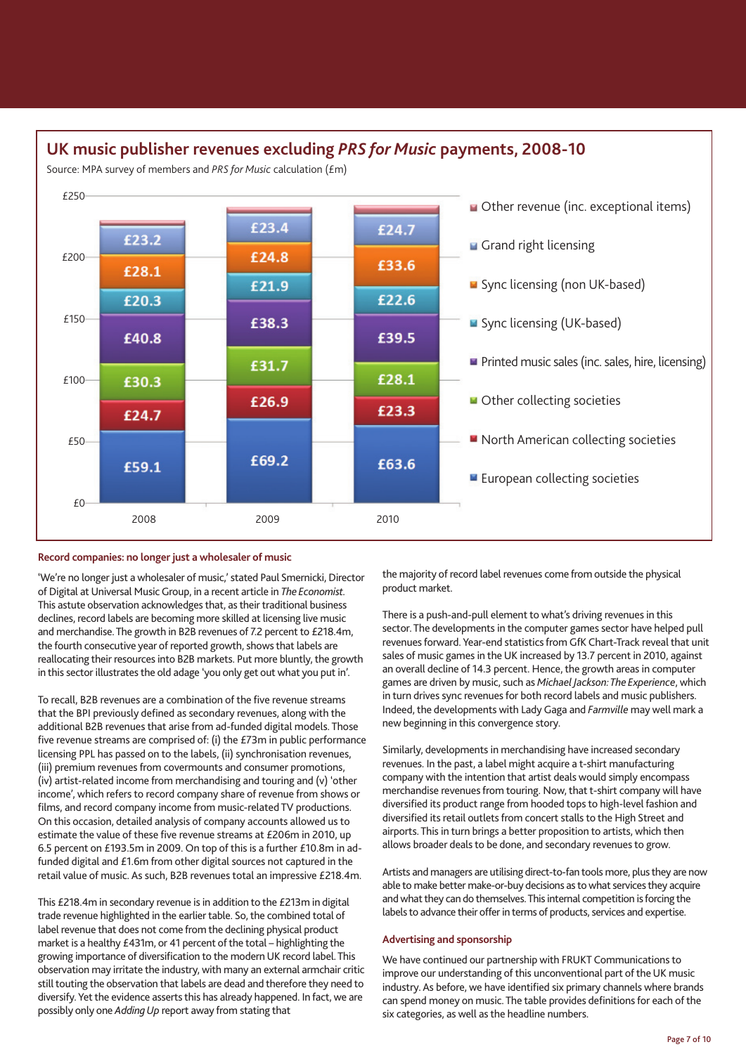# **UK music publisher revenues excluding** *PRS for Music* **payments, 2008-10**

Source: MPA survey of members and *PRS for Music* calculation (£m)



# **Record companies: no longer just a wholesaler of music**

'We're no longer just a wholesaler of music,' stated Paul Smernicki, Director of Digital at Universal Music Group, in a recent article in *The Economist.* This astute observation acknowledges that, as their traditional business declines, record labels are becoming more skilled at licensing live music and merchandise. The growth in B2B revenues of 7.2 percent to £218.4m, the fourth consecutive year of reported growth, shows that labels are reallocating their resources into B2B markets. Put more bluntly, the growth in this sector illustrates the old adage 'you only get out what you put in'.

To recall, B2B revenues are a combination of the five revenue streams that the BPI previously defined as secondary revenues, along with the additional B2B revenues that arise from ad-funded digital models. Those five revenue streams are comprised of: (i) the £73m in public performance licensing PPL has passed on to the labels, (ii) synchronisation revenues, (iii) premium revenues from covermounts and consumer promotions, (iv) artist-related income from merchandising and touring and (v) 'other income', which refers to record company share of revenue from shows or films, and record company income from music-related TV productions. On this occasion, detailed analysis of company accounts allowed us to estimate the value of these five revenue streams at £206m in 2010, up 6.5 percent on £193.5m in 2009. On top of this is a further £10.8m in adfunded digital and £1.6m from other digital sources not captured in the retail value of music. As such, B2B revenues total an impressive £218.4m.

This £218.4m in secondary revenue is in addition to the £213m in digital trade revenue highlighted in the earlier table. So, the combined total of label revenue that does not come from the declining physical product market is a healthy £431m, or 41 percent of the total – highlighting the growing importance of diversification to the modern UK record label. This observation may irritate the industry, with many an external armchair critic still touting the observation that labels are dead and therefore they need to diversify. Yet the evidence asserts this has already happened. In fact, we are possibly only one *Adding Up* report away from stating that

the majority of record label revenues come from outside the physical product market.

There is a push-and-pull element to what's driving revenues in this sector. The developments in the computer games sector have helped pull revenues forward. Year-end statistics from GfK Chart-Track reveal that unit sales of music games in the UK increased by 13.7 percent in 2010, against an overall decline of 14.3 percent. Hence, the growth areas in computer games are driven by music, such as *Michael Jackson: The Experience*, which in turn drives sync revenues for both record labels and music publishers. Indeed, the developments with Lady Gaga and *Farmville* may well mark a new beginning in this convergence story.

Similarly, developments in merchandising have increased secondary revenues. In the past, a label might acquire a t-shirt manufacturing company with the intention that artist deals would simply encompass merchandise revenues from touring. Now, that t-shirt company will have diversified its product range from hooded tops to high-level fashion and diversified its retail outlets from concert stalls to the High Street and airports. This in turn brings a better proposition to artists, which then allows broader deals to be done, and secondary revenues to grow.

Artists and managers are utilising direct-to-fan tools more, plus they are now able to make better make-or-buy decisions as to what services they acquire and what they can do themselves. This internal competition is forcing the labels to advance their offer in terms of products, services and expertise.

### **Advertising and sponsorship**

We have continued our partnership with FRUKT Communications to improve our understanding of this unconventional part of the UK music industry. As before, we have identified six primary channels where brands can spend money on music. The table provides definitions for each of the six categories, as well as the headline numbers.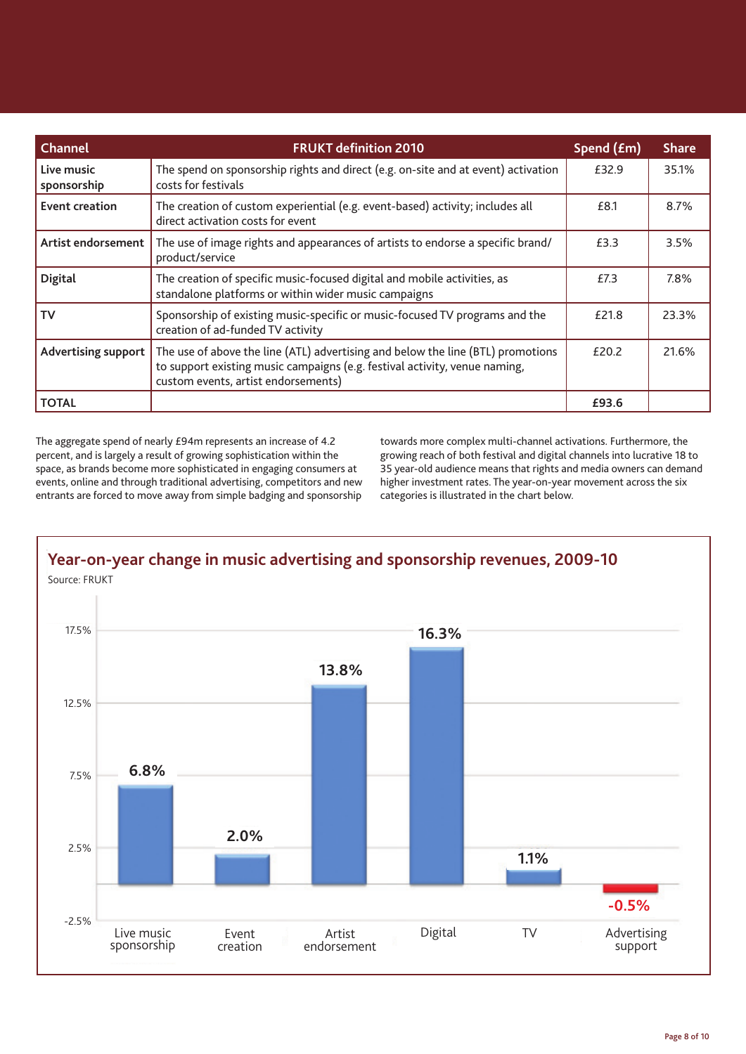| <b>Channel</b>             | <b>FRUKT definition 2010</b>                                                                                                                                                                         | Spend (£m) | <b>Share</b> |
|----------------------------|------------------------------------------------------------------------------------------------------------------------------------------------------------------------------------------------------|------------|--------------|
| Live music<br>sponsorship  | The spend on sponsorship rights and direct (e.g. on-site and at event) activation<br>costs for festivals                                                                                             | £32.9      | 35.1%        |
| Event creation             | The creation of custom experiential (e.g. event-based) activity; includes all<br>direct activation costs for event                                                                                   | £8.1       | 8.7%         |
| Artist endorsement         | The use of image rights and appearances of artists to endorse a specific brand/<br>product/service                                                                                                   | £3.3       | 3.5%         |
| <b>Digital</b>             | The creation of specific music-focused digital and mobile activities, as<br>standalone platforms or within wider music campaigns                                                                     | £7.3       | 7.8%         |
| TV                         | Sponsorship of existing music-specific or music-focused TV programs and the<br>creation of ad-funded TV activity                                                                                     | £21.8      | 23.3%        |
| <b>Advertising support</b> | The use of above the line (ATL) advertising and below the line (BTL) promotions<br>to support existing music campaigns (e.g. festival activity, venue naming,<br>custom events, artist endorsements) | £20.2      | 21.6%        |
| <b>TOTAL</b>               |                                                                                                                                                                                                      | £93.6      |              |

The aggregate spend of nearly £94m represents an increase of 4.2 percent, and is largely a result of growing sophistication within the space, as brands become more sophisticated in engaging consumers at events, online and through traditional advertising, competitors and new entrants are forced to move away from simple badging and sponsorship

towards more complex multi-channel activations. Furthermore, the growing reach of both festival and digital channels into lucrative 18 to 35 year-old audience means that rights and media owners can demand higher investment rates. The year-on-year movement across the six categories is illustrated in the chart below.

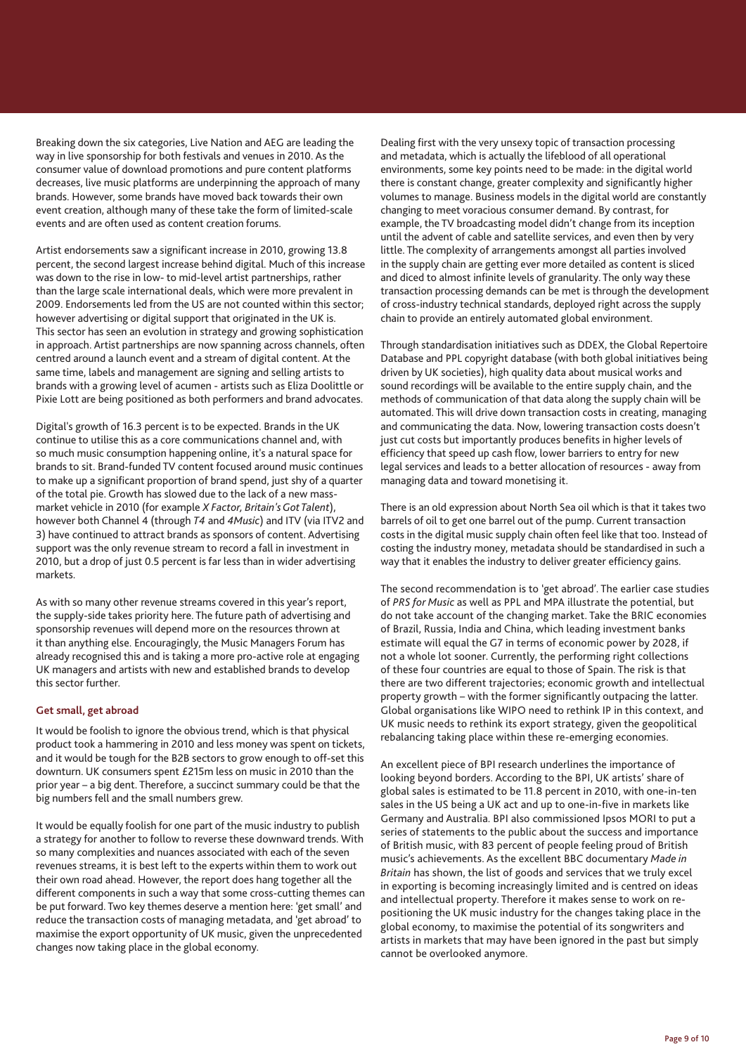Breaking down the six categories, Live Nation and AEG are leading the way in live sponsorship for both festivals and venues in 2010. As the consumer value of download promotions and pure content platforms decreases, live music platforms are underpinning the approach of many brands. However, some brands have moved back towards their own event creation, although many of these take the form of limited-scale events and are often used as content creation forums.

Artist endorsements saw a significant increase in 2010, growing 13.8 percent, the second largest increase behind digital. Much of this increase was down to the rise in low- to mid-level artist partnerships, rather than the large scale international deals, which were more prevalent in 2009. Endorsements led from the US are not counted within this sector; however advertising or digital support that originated in the UK is. This sector has seen an evolution in strategy and growing sophistication in approach. Artist partnerships are now spanning across channels, often centred around a launch event and a stream of digital content. At the same time, labels and management are signing and selling artists to brands with a growing level of acumen - artists such as Eliza Doolittle or Pixie Lott are being positioned as both performers and brand advocates.

Digital's growth of 16.3 percent is to be expected. Brands in the UK continue to utilise this as a core communications channel and, with so much music consumption happening online, it's a natural space for brands to sit. Brand-funded TV content focused around music continues to make up a significant proportion of brand spend, just shy of a quarter of the total pie. Growth has slowed due to the lack of a new massmarket vehicle in 2010 (for example *X Factor, Britain's Got Talent*), however both Channel 4 (through *T4* and *4Music*) and ITV (via ITV2 and 3) have continued to attract brands as sponsors of content. Advertising support was the only revenue stream to record a fall in investment in 2010, but a drop of just 0.5 percent is far less than in wider advertising markets.

As with so many other revenue streams covered in this year's report, the supply-side takes priority here. The future path of advertising and sponsorship revenues will depend more on the resources thrown at it than anything else. Encouragingly, the Music Managers Forum has already recognised this and is taking a more pro-active role at engaging UK managers and artists with new and established brands to develop this sector further.

#### **Get small, get abroad**

It would be foolish to ignore the obvious trend, which is that physical product took a hammering in 2010 and less money was spent on tickets, and it would be tough for the B2B sectors to grow enough to off-set this downturn. UK consumers spent £215m less on music in 2010 than the prior year – a big dent. Therefore, a succinct summary could be that the big numbers fell and the small numbers grew.

It would be equally foolish for one part of the music industry to publish a strategy for another to follow to reverse these downward trends. With so many complexities and nuances associated with each of the seven revenues streams, it is best left to the experts within them to work out their own road ahead. However, the report does hang together all the different components in such a way that some cross-cutting themes can be put forward. Two key themes deserve a mention here: 'get small' and reduce the transaction costs of managing metadata, and 'get abroad' to maximise the export opportunity of UK music, given the unprecedented changes now taking place in the global economy.

Dealing first with the very unsexy topic of transaction processing and metadata, which is actually the lifeblood of all operational environments, some key points need to be made: in the digital world there is constant change, greater complexity and significantly higher volumes to manage. Business models in the digital world are constantly changing to meet voracious consumer demand. By contrast, for example, the TV broadcasting model didn't change from its inception until the advent of cable and satellite services, and even then by very little. The complexity of arrangements amongst all parties involved in the supply chain are getting ever more detailed as content is sliced and diced to almost infinite levels of granularity. The only way these transaction processing demands can be met is through the development of cross-industry technical standards, deployed right across the supply chain to provide an entirely automated global environment.

Through standardisation initiatives such as DDEX, the Global Repertoire Database and PPL copyright database (with both global initiatives being driven by UK societies), high quality data about musical works and sound recordings will be available to the entire supply chain, and the methods of communication of that data along the supply chain will be automated. This will drive down transaction costs in creating, managing and communicating the data. Now, lowering transaction costs doesn't just cut costs but importantly produces benefits in higher levels of efficiency that speed up cash flow, lower barriers to entry for new legal services and leads to a better allocation of resources - away from managing data and toward monetising it.

There is an old expression about North Sea oil which is that it takes two barrels of oil to get one barrel out of the pump. Current transaction costs in the digital music supply chain often feel like that too. Instead of costing the industry money, metadata should be standardised in such a way that it enables the industry to deliver greater efficiency gains.

The second recommendation is to 'get abroad'. The earlier case studies of *PRS for Music* as well as PPL and MPA illustrate the potential, but do not take account of the changing market. Take the BRIC economies of Brazil, Russia, India and China, which leading investment banks estimate will equal the G7 in terms of economic power by 2028, if not a whole lot sooner. Currently, the performing right collections of these four countries are equal to those of Spain. The risk is that there are two different trajectories; economic growth and intellectual property growth – with the former significantly outpacing the latter. Global organisations like WIPO need to rethink IP in this context, and UK music needs to rethink its export strategy, given the geopolitical rebalancing taking place within these re-emerging economies.

An excellent piece of BPI research underlines the importance of looking beyond borders. According to the BPI, UK artists' share of global sales is estimated to be 11.8 percent in 2010, with one-in-ten sales in the US being a UK act and up to one-in-five in markets like Germany and Australia. BPI also commissioned Ipsos MORI to put a series of statements to the public about the success and importance of British music, with 83 percent of people feeling proud of British music's achievements. As the excellent BBC documentary *Made in Britain* has shown, the list of goods and services that we truly excel in exporting is becoming increasingly limited and is centred on ideas and intellectual property. Therefore it makes sense to work on repositioning the UK music industry for the changes taking place in the global economy, to maximise the potential of its songwriters and artists in markets that may have been ignored in the past but simply cannot be overlooked anymore.